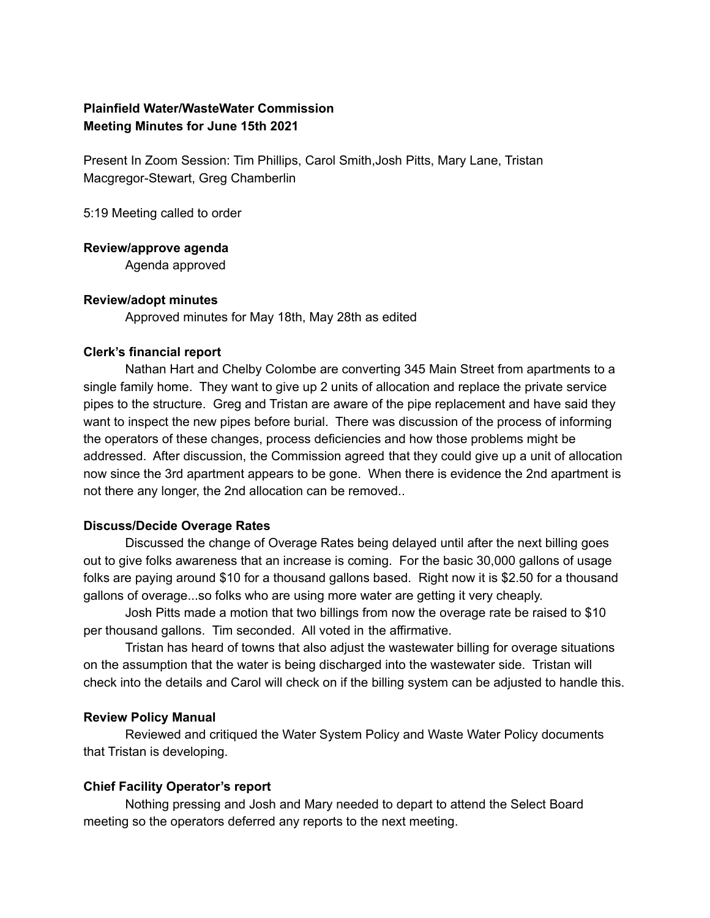# **Plainfield Water/WasteWater Commission Meeting Minutes for June 15th 2021**

Present In Zoom Session: Tim Phillips, Carol Smith,Josh Pitts, Mary Lane, Tristan Macgregor-Stewart, Greg Chamberlin

5:19 Meeting called to order

## **Review/approve agenda**

Agenda approved

#### **Review/adopt minutes**

Approved minutes for May 18th, May 28th as edited

#### **Clerk's financial report**

Nathan Hart and Chelby Colombe are converting 345 Main Street from apartments to a single family home. They want to give up 2 units of allocation and replace the private service pipes to the structure. Greg and Tristan are aware of the pipe replacement and have said they want to inspect the new pipes before burial. There was discussion of the process of informing the operators of these changes, process deficiencies and how those problems might be addressed. After discussion, the Commission agreed that they could give up a unit of allocation now since the 3rd apartment appears to be gone. When there is evidence the 2nd apartment is not there any longer, the 2nd allocation can be removed..

## **Discuss/Decide Overage Rates**

Discussed the change of Overage Rates being delayed until after the next billing goes out to give folks awareness that an increase is coming. For the basic 30,000 gallons of usage folks are paying around \$10 for a thousand gallons based. Right now it is \$2.50 for a thousand gallons of overage...so folks who are using more water are getting it very cheaply.

Josh Pitts made a motion that two billings from now the overage rate be raised to \$10 per thousand gallons. Tim seconded. All voted in the affirmative.

Tristan has heard of towns that also adjust the wastewater billing for overage situations on the assumption that the water is being discharged into the wastewater side. Tristan will check into the details and Carol will check on if the billing system can be adjusted to handle this.

#### **Review Policy Manual**

Reviewed and critiqued the Water System Policy and Waste Water Policy documents that Tristan is developing.

## **Chief Facility Operator's report**

Nothing pressing and Josh and Mary needed to depart to attend the Select Board meeting so the operators deferred any reports to the next meeting.